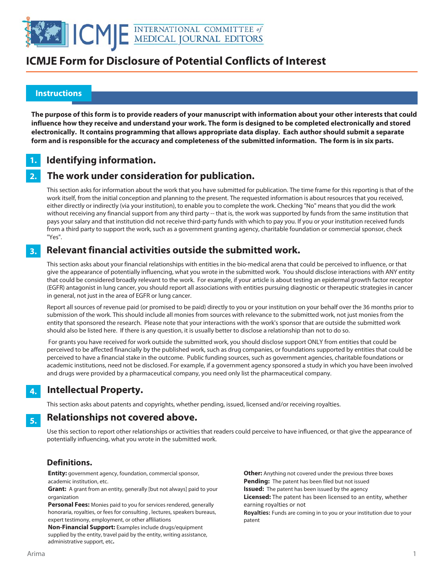

#### **Instructions**

 

> **The purpose of this form is to provide readers of your manuscript with information about your other interests that could influence how they receive and understand your work. The form is designed to be completed electronically and stored electronically. It contains programming that allows appropriate data display. Each author should submit a separate form and is responsible for the accuracy and completeness of the submitted information. The form is in six parts.**

#### **Identifying information. 1.**

#### **The work under consideration for publication. 2.**

This section asks for information about the work that you have submitted for publication. The time frame for this reporting is that of the work itself, from the initial conception and planning to the present. The requested information is about resources that you received, either directly or indirectly (via your institution), to enable you to complete the work. Checking "No" means that you did the work without receiving any financial support from any third party -- that is, the work was supported by funds from the same institution that pays your salary and that institution did not receive third-party funds with which to pay you. If you or your institution received funds from a third party to support the work, such as a government granting agency, charitable foundation or commercial sponsor, check "Yes".

#### **Relevant financial activities outside the submitted work. 3.**

This section asks about your financial relationships with entities in the bio-medical arena that could be perceived to influence, or that give the appearance of potentially influencing, what you wrote in the submitted work. You should disclose interactions with ANY entity that could be considered broadly relevant to the work. For example, if your article is about testing an epidermal growth factor receptor (EGFR) antagonist in lung cancer, you should report all associations with entities pursuing diagnostic or therapeutic strategies in cancer in general, not just in the area of EGFR or lung cancer.

Report all sources of revenue paid (or promised to be paid) directly to you or your institution on your behalf over the 36 months prior to submission of the work. This should include all monies from sources with relevance to the submitted work, not just monies from the entity that sponsored the research. Please note that your interactions with the work's sponsor that are outside the submitted work should also be listed here. If there is any question, it is usually better to disclose a relationship than not to do so.

 For grants you have received for work outside the submitted work, you should disclose support ONLY from entities that could be perceived to be affected financially by the published work, such as drug companies, or foundations supported by entities that could be perceived to have a financial stake in the outcome. Public funding sources, such as government agencies, charitable foundations or academic institutions, need not be disclosed. For example, if a government agency sponsored a study in which you have been involved and drugs were provided by a pharmaceutical company, you need only list the pharmaceutical company.

#### **Intellectual Property. 4.**

This section asks about patents and copyrights, whether pending, issued, licensed and/or receiving royalties.

#### **Relationships not covered above. 5.**

Use this section to report other relationships or activities that readers could perceive to have influenced, or that give the appearance of potentially influencing, what you wrote in the submitted work.

#### **Definitions.**

**Entity:** government agency, foundation, commercial sponsor, academic institution, etc.

**Grant:** A grant from an entity, generally [but not always] paid to your organization

**Personal Fees:** Monies paid to you for services rendered, generally honoraria, royalties, or fees for consulting , lectures, speakers bureaus, expert testimony, employment, or other affiliations

**Non-Financial Support:** Examples include drugs/equipment supplied by the entity, travel paid by the entity, writing assistance, administrative support, etc**.**

**Other:** Anything not covered under the previous three boxes **Pending:** The patent has been filed but not issued **Issued:** The patent has been issued by the agency **Licensed:** The patent has been licensed to an entity, whether earning royalties or not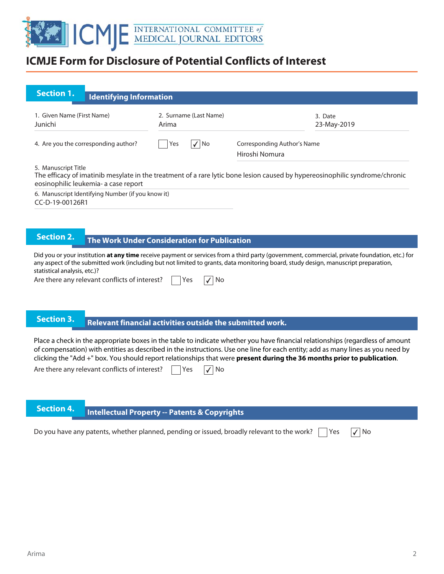

| <b>Section 1.</b>                     | <b>Identifying Information</b>                    |                                 |                                                                                                                             |  |
|---------------------------------------|---------------------------------------------------|---------------------------------|-----------------------------------------------------------------------------------------------------------------------------|--|
| 1. Given Name (First Name)<br>Junichi |                                                   | 2. Surname (Last Name)<br>Arima | 3. Date<br>23-May-2019                                                                                                      |  |
| 4. Are you the corresponding author?  |                                                   | $\sqrt{ NQ}$<br>Yes             | Corresponding Author's Name<br>Hiroshi Nomura                                                                               |  |
| 5. Manuscript Title                   | eosinophilic leukemia- a case report              |                                 | The efficacy of imatinib mesylate in the treatment of a rare lytic bone lesion caused by hypereosinophilic syndrome/chronic |  |
|                                       | 6. Manuscript Identifying Number (if you know it) |                                 |                                                                                                                             |  |

CC-D-19-00126R1

## **The Work Under Consideration for Publication**

Did you or your institution **at any time** receive payment or services from a third party (government, commercial, private foundation, etc.) for any aspect of the submitted work (including but not limited to grants, data monitoring board, study design, manuscript preparation, statistical analysis, etc.)?

Are there any relevant conflicts of interest?  $\Box$  Yes  $\Box$  No

## **Relevant financial activities outside the submitted work. Section 3. Relevant financial activities outset**

Place a check in the appropriate boxes in the table to indicate whether you have financial relationships (regardless of amount of compensation) with entities as described in the instructions. Use one line for each entity; add as many lines as you need by clicking the "Add +" box. You should report relationships that were **present during the 36 months prior to publication**.

Are there any relevant conflicts of interest?  $\Box$  Yes  $\Box$  No

## **Intellectual Property -- Patents & Copyrights**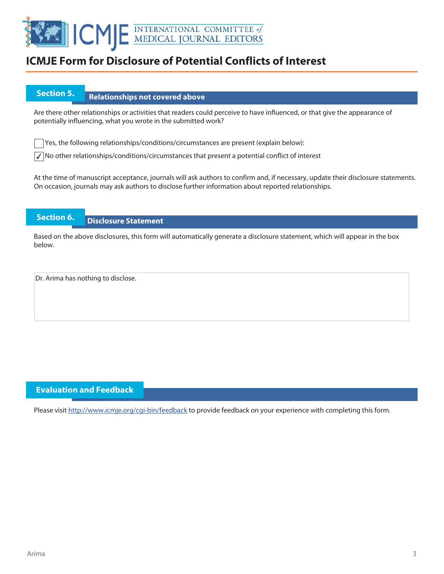

### **Section 5.** Relationships not covered above

Are there other relationships or activities that readers could perceive to have influenced, or that give the appearance of potentially influencing, what you wrote in the submitted work?

Yes, the following relationships/conditions/circumstances are present (explain below):

 $\sqrt{\ }$  No other relationships/conditions/circumstances that present a potential conflict of interest

At the time of manuscript acceptance, journals will ask authors to confirm and, if necessary, update their disclosure statements. On occasion, journals may ask authors to disclose further information about reported relationships.

### **Section 6. Disclosure Statement**

Based on the above disclosures, this form will automatically generate a disclosure statement, which will appear in the box below.

Dr. Arima has nothing to disclose.

#### **Evaluation and Feedback**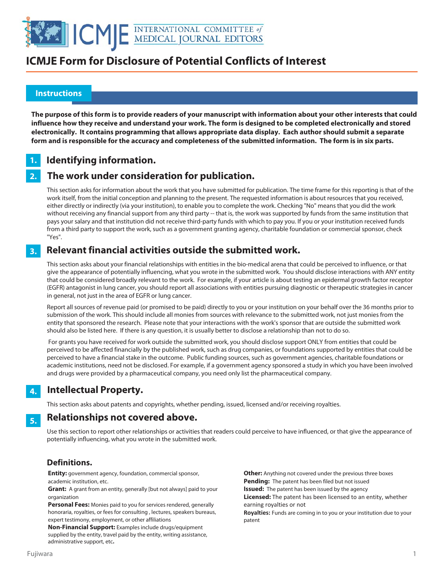

#### **Instructions**

 

> **The purpose of this form is to provide readers of your manuscript with information about your other interests that could influence how they receive and understand your work. The form is designed to be completed electronically and stored electronically. It contains programming that allows appropriate data display. Each author should submit a separate form and is responsible for the accuracy and completeness of the submitted information. The form is in six parts.**

#### **Identifying information. 1.**

#### **The work under consideration for publication. 2.**

This section asks for information about the work that you have submitted for publication. The time frame for this reporting is that of the work itself, from the initial conception and planning to the present. The requested information is about resources that you received, either directly or indirectly (via your institution), to enable you to complete the work. Checking "No" means that you did the work without receiving any financial support from any third party -- that is, the work was supported by funds from the same institution that pays your salary and that institution did not receive third-party funds with which to pay you. If you or your institution received funds from a third party to support the work, such as a government granting agency, charitable foundation or commercial sponsor, check "Yes".

#### **Relevant financial activities outside the submitted work. 3.**

This section asks about your financial relationships with entities in the bio-medical arena that could be perceived to influence, or that give the appearance of potentially influencing, what you wrote in the submitted work. You should disclose interactions with ANY entity that could be considered broadly relevant to the work. For example, if your article is about testing an epidermal growth factor receptor (EGFR) antagonist in lung cancer, you should report all associations with entities pursuing diagnostic or therapeutic strategies in cancer in general, not just in the area of EGFR or lung cancer.

Report all sources of revenue paid (or promised to be paid) directly to you or your institution on your behalf over the 36 months prior to submission of the work. This should include all monies from sources with relevance to the submitted work, not just monies from the entity that sponsored the research. Please note that your interactions with the work's sponsor that are outside the submitted work should also be listed here. If there is any question, it is usually better to disclose a relationship than not to do so.

 For grants you have received for work outside the submitted work, you should disclose support ONLY from entities that could be perceived to be affected financially by the published work, such as drug companies, or foundations supported by entities that could be perceived to have a financial stake in the outcome. Public funding sources, such as government agencies, charitable foundations or academic institutions, need not be disclosed. For example, if a government agency sponsored a study in which you have been involved and drugs were provided by a pharmaceutical company, you need only list the pharmaceutical company.

#### **Intellectual Property. 4.**

This section asks about patents and copyrights, whether pending, issued, licensed and/or receiving royalties.

#### **Relationships not covered above. 5.**

Use this section to report other relationships or activities that readers could perceive to have influenced, or that give the appearance of potentially influencing, what you wrote in the submitted work.

#### **Definitions.**

**Entity:** government agency, foundation, commercial sponsor, academic institution, etc.

**Grant:** A grant from an entity, generally [but not always] paid to your organization

**Personal Fees:** Monies paid to you for services rendered, generally honoraria, royalties, or fees for consulting , lectures, speakers bureaus, expert testimony, employment, or other affiliations

**Non-Financial Support:** Examples include drugs/equipment supplied by the entity, travel paid by the entity, writing assistance, administrative support, etc**.**

**Other:** Anything not covered under the previous three boxes **Pending:** The patent has been filed but not issued **Issued:** The patent has been issued by the agency **Licensed:** The patent has been licensed to an entity, whether earning royalties or not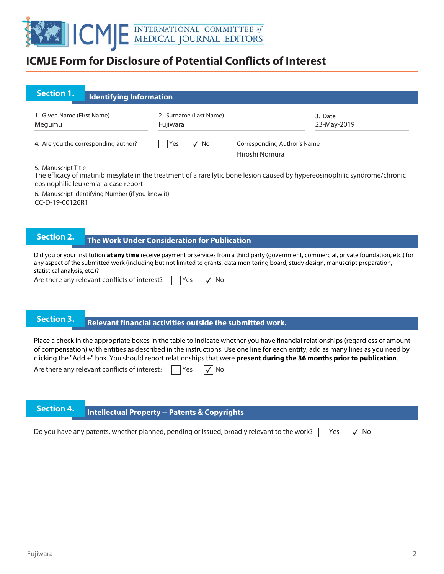

| <b>Section 1.</b>                                                    | <b>Identifying Information</b>     |                                                                                                                             |  |
|----------------------------------------------------------------------|------------------------------------|-----------------------------------------------------------------------------------------------------------------------------|--|
| 1. Given Name (First Name)<br>Megumu                                 | 2. Surname (Last Name)<br>Fujiwara | 3. Date<br>23-May-2019                                                                                                      |  |
| 4. Are you the corresponding author?                                 | Yes<br>  No<br>✓                   | Corresponding Author's Name<br>Hiroshi Nomura                                                                               |  |
| 5. Manuscript Title<br>eosinophilic leukemia- a case report          |                                    | The efficacy of imatinib mesylate in the treatment of a rare lytic bone lesion caused by hypereosinophilic syndrome/chronic |  |
| 6. Manuscript Identifying Number (if you know it)<br>CC-D-19-00126R1 |                                    |                                                                                                                             |  |

## **The Work Under Consideration for Publication**

Did you or your institution **at any time** receive payment or services from a third party (government, commercial, private foundation, etc.) for any aspect of the submitted work (including but not limited to grants, data monitoring board, study design, manuscript preparation, statistical analysis, etc.)?

| Are there any relevant conflicts of interest? |  | <b>Yes</b> |  | $\sqrt{ }$ No |
|-----------------------------------------------|--|------------|--|---------------|
|-----------------------------------------------|--|------------|--|---------------|

# **Relevant financial activities outside the submitted work. Section 3. Relevant financial activities outset**

Place a check in the appropriate boxes in the table to indicate whether you have financial relationships (regardless of amount of compensation) with entities as described in the instructions. Use one line for each entity; add as many lines as you need by clicking the "Add +" box. You should report relationships that were **present during the 36 months prior to publication**.

Are there any relevant conflicts of interest?  $\Box$  Yes  $\Box$  No

# **Intellectual Property -- Patents & Copyrights**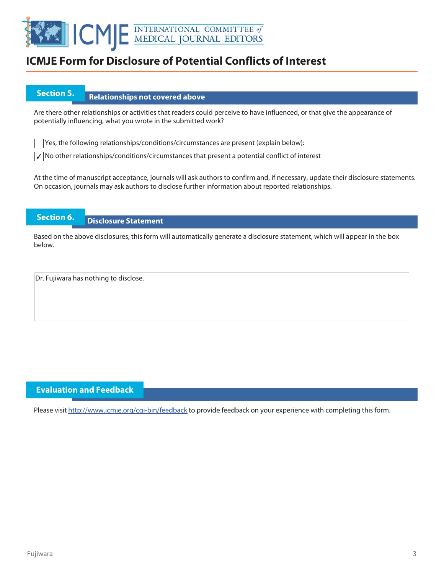

### **Section 5.** Relationships not covered above

Are there other relationships or activities that readers could perceive to have influenced, or that give the appearance of potentially influencing, what you wrote in the submitted work?

Yes, the following relationships/conditions/circumstances are present (explain below):

 $\sqrt{\ }$  No other relationships/conditions/circumstances that present a potential conflict of interest

At the time of manuscript acceptance, journals will ask authors to confirm and, if necessary, update their disclosure statements. On occasion, journals may ask authors to disclose further information about reported relationships.

### **Section 6. Disclosure Statement**

Based on the above disclosures, this form will automatically generate a disclosure statement, which will appear in the box below.

Dr. Fujiwara has nothing to disclose.

#### **Evaluation and Feedback**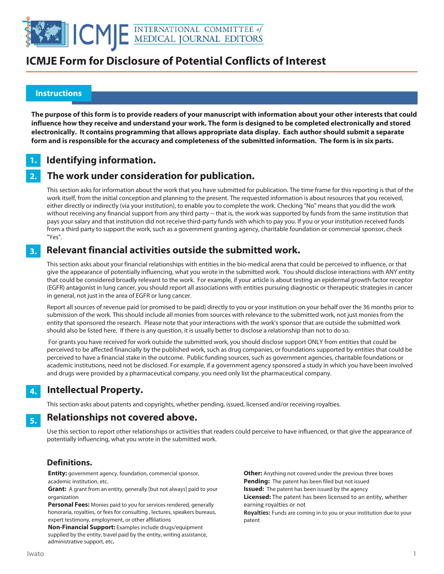

#### **Instructions**

 

> **The purpose of this form is to provide readers of your manuscript with information about your other interests that could influence how they receive and understand your work. The form is designed to be completed electronically and stored electronically. It contains programming that allows appropriate data display. Each author should submit a separate form and is responsible for the accuracy and completeness of the submitted information. The form is in six parts.**

#### **Identifying information. 1.**

#### **The work under consideration for publication. 2.**

This section asks for information about the work that you have submitted for publication. The time frame for this reporting is that of the work itself, from the initial conception and planning to the present. The requested information is about resources that you received, either directly or indirectly (via your institution), to enable you to complete the work. Checking "No" means that you did the work without receiving any financial support from any third party -- that is, the work was supported by funds from the same institution that pays your salary and that institution did not receive third-party funds with which to pay you. If you or your institution received funds from a third party to support the work, such as a government granting agency, charitable foundation or commercial sponsor, check "Yes".

#### **Relevant financial activities outside the submitted work. 3.**

This section asks about your financial relationships with entities in the bio-medical arena that could be perceived to influence, or that give the appearance of potentially influencing, what you wrote in the submitted work. You should disclose interactions with ANY entity that could be considered broadly relevant to the work. For example, if your article is about testing an epidermal growth factor receptor (EGFR) antagonist in lung cancer, you should report all associations with entities pursuing diagnostic or therapeutic strategies in cancer in general, not just in the area of EGFR or lung cancer.

Report all sources of revenue paid (or promised to be paid) directly to you or your institution on your behalf over the 36 months prior to submission of the work. This should include all monies from sources with relevance to the submitted work, not just monies from the entity that sponsored the research. Please note that your interactions with the work's sponsor that are outside the submitted work should also be listed here. If there is any question, it is usually better to disclose a relationship than not to do so.

 For grants you have received for work outside the submitted work, you should disclose support ONLY from entities that could be perceived to be affected financially by the published work, such as drug companies, or foundations supported by entities that could be perceived to have a financial stake in the outcome. Public funding sources, such as government agencies, charitable foundations or academic institutions, need not be disclosed. For example, if a government agency sponsored a study in which you have been involved and drugs were provided by a pharmaceutical company, you need only list the pharmaceutical company.

#### **Intellectual Property. 4.**

This section asks about patents and copyrights, whether pending, issued, licensed and/or receiving royalties.

#### **Relationships not covered above. 5.**

Use this section to report other relationships or activities that readers could perceive to have influenced, or that give the appearance of potentially influencing, what you wrote in the submitted work.

#### **Definitions.**

**Entity:** government agency, foundation, commercial sponsor, academic institution, etc.

**Grant:** A grant from an entity, generally [but not always] paid to your organization

**Personal Fees:** Monies paid to you for services rendered, generally honoraria, royalties, or fees for consulting , lectures, speakers bureaus, expert testimony, employment, or other affiliations

**Non-Financial Support:** Examples include drugs/equipment supplied by the entity, travel paid by the entity, writing assistance, administrative support, etc**.**

**Other:** Anything not covered under the previous three boxes **Pending:** The patent has been filed but not issued **Issued:** The patent has been issued by the agency **Licensed:** The patent has been licensed to an entity, whether earning royalties or not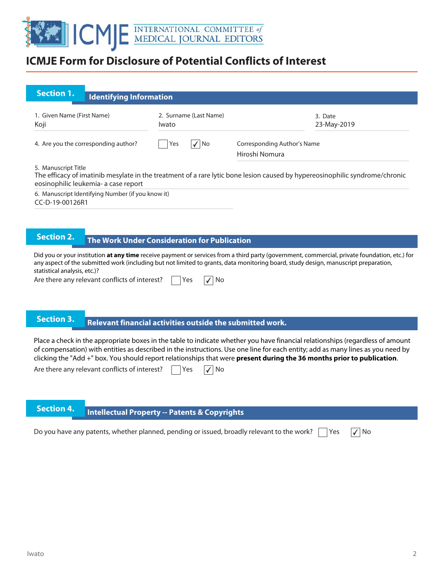

| <b>Section 1.</b>                    | <b>Identifying Information</b>                    |                                        |                                                                                                                             |  |
|--------------------------------------|---------------------------------------------------|----------------------------------------|-----------------------------------------------------------------------------------------------------------------------------|--|
| 1. Given Name (First Name)<br>Koji   |                                                   | 2. Surname (Last Name)<br><i>lwato</i> | 3. Date<br>23-May-2019                                                                                                      |  |
| 4. Are you the corresponding author? |                                                   | Yes<br>  No<br>$\mathcal{A}^+$         | Corresponding Author's Name<br>Hiroshi Nomura                                                                               |  |
| 5. Manuscript Title                  | eosinophilic leukemia- a case report              |                                        | The efficacy of imatinib mesylate in the treatment of a rare lytic bone lesion caused by hypereosinophilic syndrome/chronic |  |
| $CC$ D 10 0013601                    | 6. Manuscript Identifying Number (if you know it) |                                        |                                                                                                                             |  |

CC-D-19-00126R1

## **The Work Under Consideration for Publication**

Did you or your institution **at any time** receive payment or services from a third party (government, commercial, private foundation, etc.) for any aspect of the submitted work (including but not limited to grants, data monitoring board, study design, manuscript preparation, statistical analysis, etc.)?

Are there any relevant conflicts of interest?  $\Box$  Yes

|  | ۰. |
|--|----|
|--|----|

## **Relevant financial activities outside the submitted work. Section 3. Relevant financial activities outset**

Place a check in the appropriate boxes in the table to indicate whether you have financial relationships (regardless of amount of compensation) with entities as described in the instructions. Use one line for each entity; add as many lines as you need by clicking the "Add +" box. You should report relationships that were **present during the 36 months prior to publication**.

Are there any relevant conflicts of interest?  $\Box$  Yes  $\Box$  No

## **Intellectual Property -- Patents & Copyrights**

Do you have any patents, whether planned, pending or issued, broadly relevant to the work?  $\Box$  Yes  $\Box$  No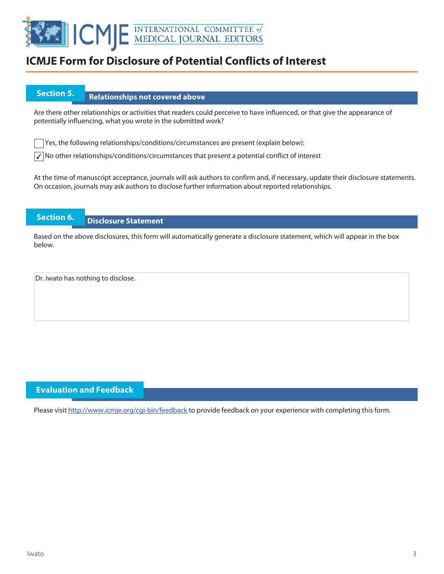

### **Section 5.** Relationships not covered above

Are there other relationships or activities that readers could perceive to have influenced, or that give the appearance of potentially influencing, what you wrote in the submitted work?

Yes, the following relationships/conditions/circumstances are present (explain below):

 $\sqrt{\ }$  No other relationships/conditions/circumstances that present a potential conflict of interest

At the time of manuscript acceptance, journals will ask authors to confirm and, if necessary, update their disclosure statements. On occasion, journals may ask authors to disclose further information about reported relationships.

### **Section 6. Disclosure Statement**

Based on the above disclosures, this form will automatically generate a disclosure statement, which will appear in the box below.

Dr. Iwato has nothing to disclose.

#### **Evaluation and Feedback**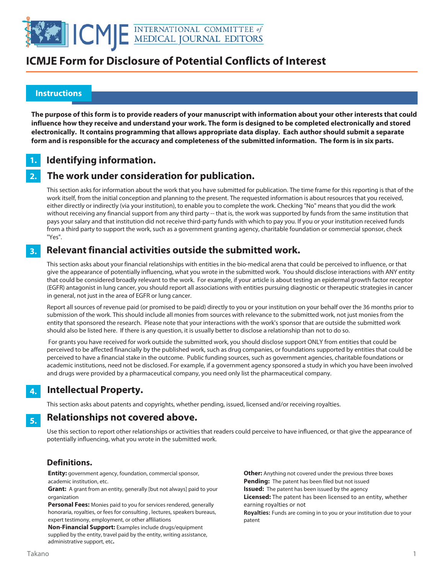

#### **Instructions**

 

> **The purpose of this form is to provide readers of your manuscript with information about your other interests that could influence how they receive and understand your work. The form is designed to be completed electronically and stored electronically. It contains programming that allows appropriate data display. Each author should submit a separate form and is responsible for the accuracy and completeness of the submitted information. The form is in six parts.**

#### **Identifying information. 1.**

#### **The work under consideration for publication. 2.**

This section asks for information about the work that you have submitted for publication. The time frame for this reporting is that of the work itself, from the initial conception and planning to the present. The requested information is about resources that you received, either directly or indirectly (via your institution), to enable you to complete the work. Checking "No" means that you did the work without receiving any financial support from any third party -- that is, the work was supported by funds from the same institution that pays your salary and that institution did not receive third-party funds with which to pay you. If you or your institution received funds from a third party to support the work, such as a government granting agency, charitable foundation or commercial sponsor, check "Yes".

#### **Relevant financial activities outside the submitted work. 3.**

This section asks about your financial relationships with entities in the bio-medical arena that could be perceived to influence, or that give the appearance of potentially influencing, what you wrote in the submitted work. You should disclose interactions with ANY entity that could be considered broadly relevant to the work. For example, if your article is about testing an epidermal growth factor receptor (EGFR) antagonist in lung cancer, you should report all associations with entities pursuing diagnostic or therapeutic strategies in cancer in general, not just in the area of EGFR or lung cancer.

Report all sources of revenue paid (or promised to be paid) directly to you or your institution on your behalf over the 36 months prior to submission of the work. This should include all monies from sources with relevance to the submitted work, not just monies from the entity that sponsored the research. Please note that your interactions with the work's sponsor that are outside the submitted work should also be listed here. If there is any question, it is usually better to disclose a relationship than not to do so.

 For grants you have received for work outside the submitted work, you should disclose support ONLY from entities that could be perceived to be affected financially by the published work, such as drug companies, or foundations supported by entities that could be perceived to have a financial stake in the outcome. Public funding sources, such as government agencies, charitable foundations or academic institutions, need not be disclosed. For example, if a government agency sponsored a study in which you have been involved and drugs were provided by a pharmaceutical company, you need only list the pharmaceutical company.

#### **Intellectual Property. 4.**

This section asks about patents and copyrights, whether pending, issued, licensed and/or receiving royalties.

#### **Relationships not covered above. 5.**

Use this section to report other relationships or activities that readers could perceive to have influenced, or that give the appearance of potentially influencing, what you wrote in the submitted work.

#### **Definitions.**

**Entity:** government agency, foundation, commercial sponsor, academic institution, etc.

**Grant:** A grant from an entity, generally [but not always] paid to your organization

**Personal Fees:** Monies paid to you for services rendered, generally honoraria, royalties, or fees for consulting , lectures, speakers bureaus, expert testimony, employment, or other affiliations

**Non-Financial Support:** Examples include drugs/equipment supplied by the entity, travel paid by the entity, writing assistance, administrative support, etc**.**

**Other:** Anything not covered under the previous three boxes **Pending:** The patent has been filed but not issued **Issued:** The patent has been issued by the agency **Licensed:** The patent has been licensed to an entity, whether earning royalties or not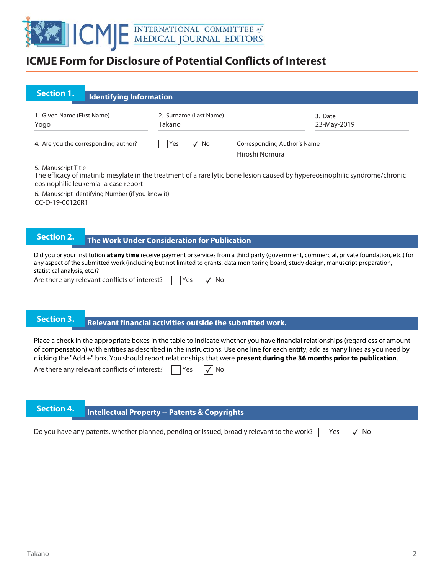

| <b>Section 1.</b>                                 | <b>Identifying Information</b>       |                                  |    |                                                                                                                             |                        |
|---------------------------------------------------|--------------------------------------|----------------------------------|----|-----------------------------------------------------------------------------------------------------------------------------|------------------------|
| 1. Given Name (First Name)<br>Yogo                |                                      | 2. Surname (Last Name)<br>Takano |    |                                                                                                                             | 3. Date<br>23-May-2019 |
| 4. Are you the corresponding author?              |                                      | Yes                              | No | Corresponding Author's Name<br>Hiroshi Nomura                                                                               |                        |
| 5. Manuscript Title                               | eosinophilic leukemia- a case report |                                  |    | The efficacy of imatinib mesylate in the treatment of a rare lytic bone lesion caused by hypereosinophilic syndrome/chronic |                        |
| 6. Manuscript Identifying Number (if you know it) |                                      |                                  |    |                                                                                                                             |                        |

CC-D-19-00126R1

## **The Work Under Consideration for Publication**

Did you or your institution **at any time** receive payment or services from a third party (government, commercial, private foundation, etc.) for any aspect of the submitted work (including but not limited to grants, data monitoring board, study design, manuscript preparation, statistical analysis, etc.)?

Are there any relevant conflicts of interest?  $\Box$  Yes

|  | ۰.<br>., |
|--|----------|
|--|----------|

## **Relevant financial activities outside the submitted work. Section 3. Relevant financial activities outset**

Place a check in the appropriate boxes in the table to indicate whether you have financial relationships (regardless of amount of compensation) with entities as described in the instructions. Use one line for each entity; add as many lines as you need by clicking the "Add +" box. You should report relationships that were **present during the 36 months prior to publication**.

Are there any relevant conflicts of interest?  $\Box$  Yes  $\Box$  No

# **Intellectual Property -- Patents & Copyrights**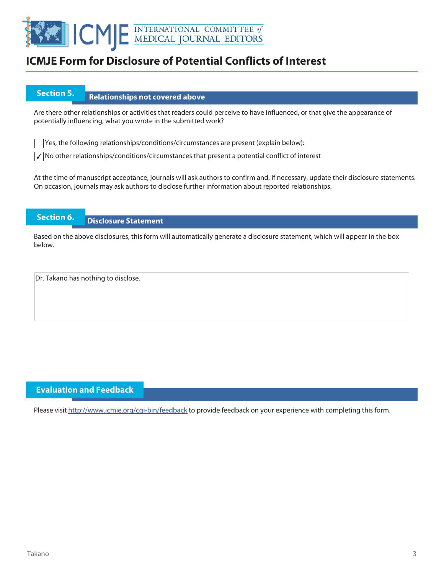

### **Section 5.** Relationships not covered above

Are there other relationships or activities that readers could perceive to have influenced, or that give the appearance of potentially influencing, what you wrote in the submitted work?

Yes, the following relationships/conditions/circumstances are present (explain below):

 $\sqrt{\ }$  No other relationships/conditions/circumstances that present a potential conflict of interest

At the time of manuscript acceptance, journals will ask authors to confirm and, if necessary, update their disclosure statements. On occasion, journals may ask authors to disclose further information about reported relationships.

### **Section 6. Disclosure Statement**

Based on the above disclosures, this form will automatically generate a disclosure statement, which will appear in the box below.

Dr. Takano has nothing to disclose.

#### **Evaluation and Feedback**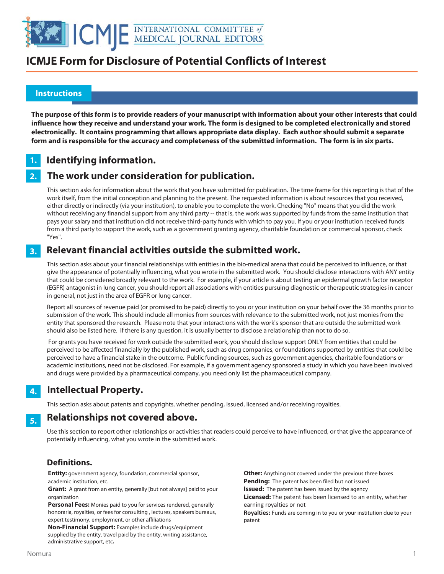

#### **Instructions**

 

> **The purpose of this form is to provide readers of your manuscript with information about your other interests that could influence how they receive and understand your work. The form is designed to be completed electronically and stored electronically. It contains programming that allows appropriate data display. Each author should submit a separate form and is responsible for the accuracy and completeness of the submitted information. The form is in six parts.**

#### **Identifying information. 1.**

#### **The work under consideration for publication. 2.**

This section asks for information about the work that you have submitted for publication. The time frame for this reporting is that of the work itself, from the initial conception and planning to the present. The requested information is about resources that you received, either directly or indirectly (via your institution), to enable you to complete the work. Checking "No" means that you did the work without receiving any financial support from any third party -- that is, the work was supported by funds from the same institution that pays your salary and that institution did not receive third-party funds with which to pay you. If you or your institution received funds from a third party to support the work, such as a government granting agency, charitable foundation or commercial sponsor, check "Yes".

#### **Relevant financial activities outside the submitted work. 3.**

This section asks about your financial relationships with entities in the bio-medical arena that could be perceived to influence, or that give the appearance of potentially influencing, what you wrote in the submitted work. You should disclose interactions with ANY entity that could be considered broadly relevant to the work. For example, if your article is about testing an epidermal growth factor receptor (EGFR) antagonist in lung cancer, you should report all associations with entities pursuing diagnostic or therapeutic strategies in cancer in general, not just in the area of EGFR or lung cancer.

Report all sources of revenue paid (or promised to be paid) directly to you or your institution on your behalf over the 36 months prior to submission of the work. This should include all monies from sources with relevance to the submitted work, not just monies from the entity that sponsored the research. Please note that your interactions with the work's sponsor that are outside the submitted work should also be listed here. If there is any question, it is usually better to disclose a relationship than not to do so.

 For grants you have received for work outside the submitted work, you should disclose support ONLY from entities that could be perceived to be affected financially by the published work, such as drug companies, or foundations supported by entities that could be perceived to have a financial stake in the outcome. Public funding sources, such as government agencies, charitable foundations or academic institutions, need not be disclosed. For example, if a government agency sponsored a study in which you have been involved and drugs were provided by a pharmaceutical company, you need only list the pharmaceutical company.

#### **Intellectual Property. 4.**

This section asks about patents and copyrights, whether pending, issued, licensed and/or receiving royalties.

#### **Relationships not covered above. 5.**

Use this section to report other relationships or activities that readers could perceive to have influenced, or that give the appearance of potentially influencing, what you wrote in the submitted work.

#### **Definitions.**

**Entity:** government agency, foundation, commercial sponsor, academic institution, etc.

**Grant:** A grant from an entity, generally [but not always] paid to your organization

**Personal Fees:** Monies paid to you for services rendered, generally honoraria, royalties, or fees for consulting , lectures, speakers bureaus, expert testimony, employment, or other affiliations

**Non-Financial Support:** Examples include drugs/equipment supplied by the entity, travel paid by the entity, writing assistance, administrative support, etc**.**

**Other:** Anything not covered under the previous three boxes **Pending:** The patent has been filed but not issued **Issued:** The patent has been issued by the agency **Licensed:** The patent has been licensed to an entity, whether earning royalties or not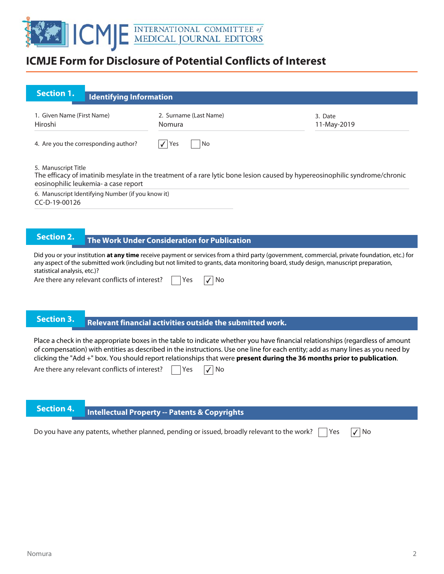

| <b>Section 1.</b>                     | <b>Identifying Information</b> |                                  |                        |  |
|---------------------------------------|--------------------------------|----------------------------------|------------------------|--|
| 1. Given Name (First Name)<br>Hiroshi |                                | 2. Surname (Last Name)<br>Nomura | 3. Date<br>11-May-2019 |  |
| 4. Are you the corresponding author?  |                                | $\sqrt{Y}$<br><b>No</b>          |                        |  |

5. Manuscript Title

The efficacy of imatinib mesylate in the treatment of a rare lytic bone lesion caused by hypereosinophilic syndrome/chronic eosinophilic leukemia- a case report

6. Manuscript Identifying Number (if you know it)

CC-D-19-00126

## **The Work Under Consideration for Publication**

Did you or your institution **at any time** receive payment or services from a third party (government, commercial, private foundation, etc.) for any aspect of the submitted work (including but not limited to grants, data monitoring board, study design, manuscript preparation, statistical analysis, etc.)?

Are there any relevant conflicts of interest?  $\Box$  Yes

|  | ٧ |
|--|---|
|--|---|

# **Relevant financial activities outside the submitted work. Section 3. Relevant financial activities outset**

Place a check in the appropriate boxes in the table to indicate whether you have financial relationships (regardless of amount of compensation) with entities as described in the instructions. Use one line for each entity; add as many lines as you need by clicking the "Add +" box. You should report relationships that were **present during the 36 months prior to publication**.

Are there any relevant conflicts of interest?  $\Box$  Yes  $\Box$  No

## **Intellectual Property -- Patents & Copyrights**